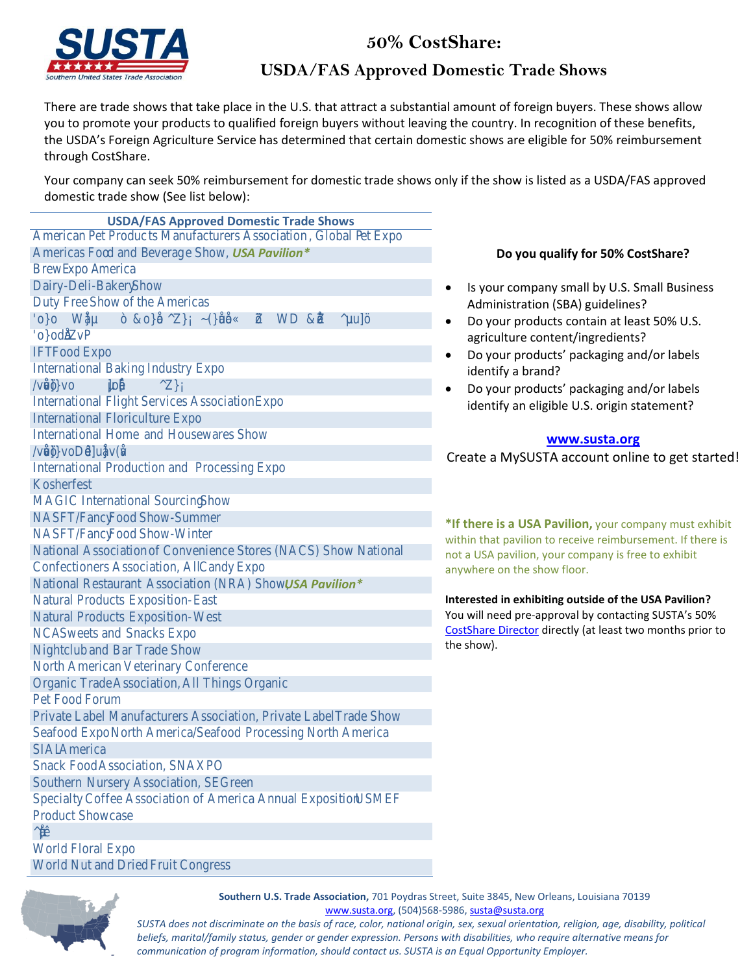

# 50% CostShare:

## **USDA/FAS Approved Domestic Trade Shows**

There are trade shows that take place in the U.S. that attract a substantial amount of foreign buyers. These shows allow you to promote your products to qualified foreign buyers without leaving the country. In recognition of these benefits, the USDA's Foreign Agriculture Service has determined that certain domestic shows are eligible for 50% reimbursement through CostShare.

Your company can seek 50% reimbursement for domestic trade shows only if the show is listed as a USDA/FAS approved domestic trade show (See list below):

**USDA/FAS Approved Domestic Trade Shows** Ame rican Pet Produc ts Manufacturers Association , Global P et Expo Americas Foo d and Beverag e Show, USA Pavilion\* BrewE xpo America Dairy-Deli-Bakery Show Duty Free Show of the Americas 'ο} oWCE}μ~ &ο}Cl^2b}Á~(}Œu Œ2o W̥D &Œ •^2μuu]š• E Z v P  $\{o\}$  od  $\mathbb E$ **IFT Food Expo** International Baking Industry Expo  $\sqrt{v}$   $\leq$   $\sqrt{v}$   $\leq$   $\sqrt{v}$   $\leq$   $\sqrt{v}$   $\leq$   $\sqrt{v}$   $\leq$   $\sqrt{v}$   $\leq$   $\sqrt{v}$   $\leq$   $\sqrt{v}$   $\leq$   $\sqrt{v}$   $\leq$   $\sqrt{v}$   $\leq$   $\sqrt{v}$   $\leq$   $\sqrt{v}$   $\leq$   $\sqrt{v}$   $\leq$   $\sqrt{v}$   $\leq$   $\sqrt{v}$   $\leq$   $\sqrt{v}$   $\le$ International Flight Services Association Expo **International Floriculture Expo International Home** and Housewares Show / v š Œ v š ] } v o D · · d ] u Œ } v ( Œ v International Production and Processing Expo Kosherfest **MAGIC International Sourcing** Show NASFT/Fancy Food Show-Summer NASFT/Fancy Food Show-Winter National Association of Convenience Stores (NACS) Show National **Confectioners Association. All** Candy Expo National Restaurant Association (NRA) Show. **USA Pavilion** Natural Products Exposition- East Natural Products Exposition- West NCA Sweets and Snacks Expo Nightclub and Bar Trade Show North American Veterinary Conference Organic Trade Association, All Things Organic Pet Food Forum Private Label Manufacturers Association, Private Label **Trade Show** Seafood Expo North America/Seafood Processing North America SIAL America Snack Food Association, SNAXPO Southern Nursery Association, SEGreen Specialty Coffee Association of America Annual Exposition **USMEF Product Showcase**  $^{\wedge}$  µ  $\times$  ( **World Floral Expo** World Nut and Dried Fruit Congress



- Is your company small by U.S. Small Business Administration (SBA) guidelines?
- Do your products contain at least 50% U.S. agriculture content/ingredients?
- Do your products' packaging and/or labels identify a brand?
- Do your products' packaging and/or labels identify an eligible U.S. origin statement?

### www.susta.org

Create a MySUSTA account online to get started!

\*If there is a USA Pavilion, your company must exhibit within that pavilion to receive reimbursement. If there is not a USA pavilion, your company is free to exhibit anywhere on the show floor.

Interested in exhibiting outside of the USA Pavilion? You will need pre-approval by contacting SUSTA's 50% CostShare Director directly (at least two months prior to the show).



Southern U.S. Trade Association, 701 Poydras Street, Suite 3845, New Orleans, Louisiana 70139 www.susta.org, (504)568-5986, susta@susta.org

SUSTA does not discriminate on the basis of race, color, national origin, sex, sexual orientation, religion, age, disability, political beliefs, marital/family status, gender or gender expression. Persons with disabilities, who require alternative means for communication of program information, should contact us. SUSTA is an Equal Opportunity Employer.